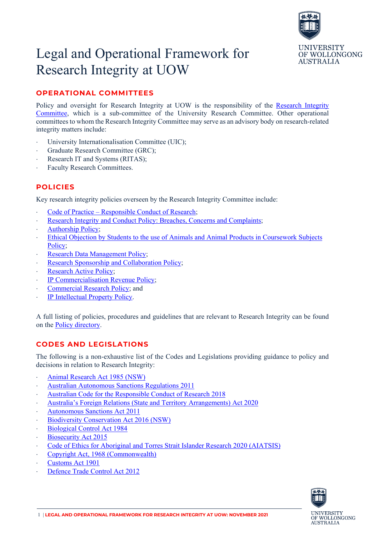

# Legal and Operational Framework for Research Integrity at UOW

## **OPERATIONAL COMMITTEES**

Policy and oversight for Research Integrity at UOW is the responsibility of the [Research Integrity](https://www.uow.edu.au/research-and-innovation/our-people/committees/)  [Committee,](https://www.uow.edu.au/research-and-innovation/our-people/committees/) which is a sub-committee of the University Research Committee. Other operational committees to whom the Research Integrity Committee may serve as an advisory body on research-related integrity matters include:

- University Internationalisation Committee (UIC);
- ⋅ Graduate Research Committee (GRC);
- Research IT and Systems (RITAS);
- Faculty Research Committees.

#### **POLICIES**

Key research integrity policies overseen by the Research Integrity Committee include:

- Code of Practice [Responsible Conduct of Research;](https://documents.uow.edu.au/content/groups/public/@web/@gov/documents/doc/uow058663.pdf)
- [Research Integrity and Conduct Policy: Breaches, Concerns and Complaints;](https://documents.uow.edu.au/content/groups/public/@web/@gov/documents/doc/uow058715.pdf)
- ⋅ [Authorship Policy;](https://documents.uow.edu.au/content/groups/public/@web/@gov/documents/doc/uow058654.pdf)
- Ethical Objection by Students to the use of Animals and Animal Products in Coursework Subjects [Policy;](https://documents.uow.edu.au/content/groups/public/@web/@gov/documents/doc/uow058708.pdf)
- [Research Data Management Policy;](https://documents.uow.edu.au/content/groups/public/@web/@gov/documents/doc/uow116802.pdf)
- [Research Sponsorship and Collaboration Policy;](https://documents.uow.edu.au/content/groups/public/@web/@gov/documents/doc/uow090469.pdf)
- Research Active Policy:
- ⋅ [IP Commercialisation Revenue Policy;](https://documents.uow.edu.au/content/groups/public/@web/@gov/documents/doc/uow058687.pdf)
- [Commercial Research Policy;](https://documents.uow.edu.au/content/groups/public/@web/@gov/documents/doc/uow058673.pdf) and
- ⋅ [IP Intellectual Property Policy.](https://documents.uow.edu.au/content/groups/public/@web/@gov/documents/doc/uow058689.pdf)

A full listing of policies, procedures and guidelines that are relevant to Research Integrity can be found on the [Policy directory.](https://documents.uow.edu.au/about/policy/research/index.html)

### **CODES AND LEGISLATIONS**

The following is a non-exhaustive list of the Codes and Legislations providing guidance to policy and decisions in relation to Research Integrity:

- ⋅ [Animal Research Act 1985 \(NSW\)](https://legislation.nsw.gov.au/view/html/inforce/current/act-1985-123)
- ⋅ [Australian Autonomous Sanctions Regulations 2011](https://www.legislation.gov.au/Details/F2011L02673/)
- ⋅ [Australian Code for the Responsible Conduct of Research 2018](https://www.nhmrc.gov.au/about-us/publications/australian-code-responsible-conduct-research-2018)
- ⋅ [Australia's Foreign Relations \(State and Territory Arrangements\) Act 2020](https://www.legislation.gov.au/Details/F2020L01569)
- ⋅ [Autonomous Sanctions Act 2011](https://www.legislation.gov.au/Details/C2011A00038)
- [Biodiversity Conservation Act 2016 \(NSW\)](https://legislation.nsw.gov.au/view/html/inforce/current/act-2016-063)
- [Biological Control Act 1984](http://www8.austlii.edu.au/cgi-bin/viewdb/au/legis/cth/consol_act/bca1984186/)
- [Biosecurity Act 2015](https://www.legislation.gov.au/Details/C2020C00127)
- ⋅ [Code of Ethics for Aboriginal and Torres Strait Islander Research 2020 \(AIATSIS\)](https://aiatsis.gov.au/sites/default/files/2020-10/aiatsis-code-ethics.pdf)
- ⋅ [Copyright Act, 1968 \(Commonwealth\)](https://www.legislation.gov.au/Details/C2017C00180)
- ⋅ [Customs Act 1901](https://www.legislation.gov.au/Series/C1901A00006)
- [Defence Trade Control Act 2012](https://www.legislation.gov.au/Details/C2012A00153)